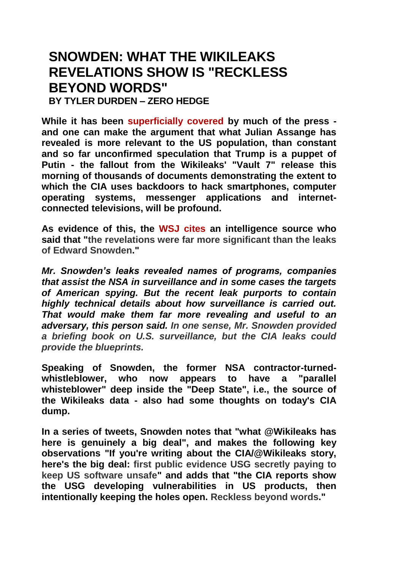# **SNOWDEN: WHAT THE WIKILEAKS REVELATIONS SHOW IS "RECKLESS BEYOND WORDS"**

**BY TYLER DURDEN – ZERO HEDGE**

**While it has been [superficially covered b](http://www.zerohedge.com/news/2017-03-07/wikileaks-hold-press-conference-vault-7-release-8am-eastern)y much of the press and one can make the argument that what Julian Assange has revealed is more relevant to the US population, than constant and so far unconfirmed speculation that Trump is a puppet of Putin - the fallout from the Wikileaks' "Vault 7" release this morning of thousands of documents demonstrating the extent to which the CIA uses backdoors to hack smartphones, computer operating systems, messenger applications and internetconnected televisions, will be profound.**

**As evidence of this, the [WSJ cites a](https://www.wsj.com/articles/wikileaks-posts-thousands-of-purported-cia-cyberhacking-documents-1488905823)n intelligence source who said that "the revelations were far more significant than the leaks of Edward Snowden."**

*Mr. Snowden's leaks revealed names of programs, companies that assist the NSA in surveillance and in some cases the targets of American spying. But the recent leak purports to contain highly technical details about how surveillance is carried out. That would make them far more revealing and useful to an adversary, this person said. In one sense, Mr. Snowden provided a briefing book on U.S. surveillance, but the CIA leaks could provide the blueprints.*

**Speaking of Snowden, the former NSA contractor-turnedwhistleblower, who now appears to have a "parallel whisteblower" deep inside the "Deep State", i.e., the source of the Wikileaks data - also had some thoughts on today's CIA dump.**

**In a series of tweets, Snowden notes that "what @Wikileaks has here is genuinely a big deal", and makes the following key observations "If you're writing about the CIA/@Wikileaks story, here's the big deal: first public evidence USG secretly paying to keep US software unsafe" and adds that "the CIA reports show the USG developing vulnerabilities in US products, then intentionally keeping the holes open. Reckless beyond words."**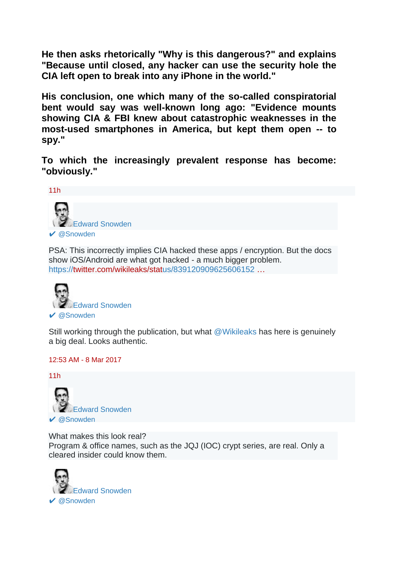**He then asks rhetorically "Why is this dangerous?" and explains "Because until closed, any hacker can use the security hole the CIA left open to break into any iPhone in the world."**

**His conclusion, one which many of the so-called conspiratorial bent would say was well-known long ago: "Evidence mounts showing CIA & FBI knew about catastrophic weaknesses in the most-used smartphones in America, but kept them open -- to spy."**

**To which the increasingly prevalent response has become: "obviously."**



PSA: This incorrectly implies CIA hacked these apps / encryption. But the docs show iOS/Android are what got hacked - a much bigger problem. [https://twitter.com/wikileaks/status/839120909625606152](https://t.co/Bw9AkBpOdt) …



Still working through the publication, but what [@Wikileaks](https://twitter.com/wikileaks) has here is genuinely a big deal. Looks authentic.

12:53 AM - [8 Mar 2017](https://twitter.com/Snowden/status/839157182872576000)



What makes this look real? Program & office names, such as the JQJ (IOC) crypt series, are real. Only a cleared insider could know them.

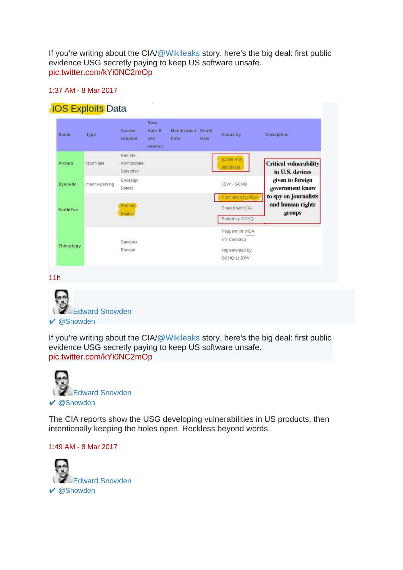If you're writing about the CIA[/@Wikileaks](https://twitter.com/wikileaks) story, here's the big deal: first public evidence USG secretly paying to keep US software unsafe. [pic.twitter.com/kYi0NC2mOp](https://t.co/kYi0NC2mOp)

### 1:37 AM - [8 Mar 2017](https://twitter.com/Snowden/status/839168025517522944)

## **iOS Exploits Data**

| Name             | Type          | <b>Access</b><br>Granted            | Born<br>Date &<br>iOS<br>Version | <b>Modification</b> Death<br>Date | Date | Found by                                                                            | <b>Description</b>                                  |
|------------------|---------------|-------------------------------------|----------------------------------|-----------------------------------|------|-------------------------------------------------------------------------------------|-----------------------------------------------------|
| <b>Archon</b>    | technique     | Remote<br>Architecture<br>Detection |                                  |                                   |      | (came with<br>purchase)                                                             | <b>Critical vulnerability</b><br>in U.S. devices    |
| <b>Dyonedo</b>   | macho-parsing | Codesign<br>Defeat                  |                                  |                                   |      | JDW - GCHO                                                                          | given to foreign<br>government know                 |
| <b>Earth/Eve</b> |               | Remote<br>Exploit                   |                                  |                                   |      | Purchased by NSA<br>Shared with CIA<br>Ported by GCHQ                               | to spy on journalists<br>and human rights<br>groups |
| Elderpiggy       |               | Sandbox<br>Escape                   |                                  |                                   |      | Peppermint (NSA<br><b>TOTALISM</b><br>VR Contract)<br>Implemented by<br>GCHQ at JDW |                                                     |

[11h](https://twitter.com/Snowden/status/839168025517522944)



If you're writing about the CIA[/@Wikileaks](https://twitter.com/wikileaks) story, here's the big deal: first public evidence USG secretly paying to keep US software unsafe. [pic.twitter.com/kYi0NC2mOp](https://t.co/kYi0NC2mOp)



The CIA reports show the USG developing vulnerabilities in US products, then intentionally keeping the holes open. Reckless beyond words.

#### 1:49 AM - [8 Mar 2017](https://twitter.com/Snowden/status/839171129331830784)